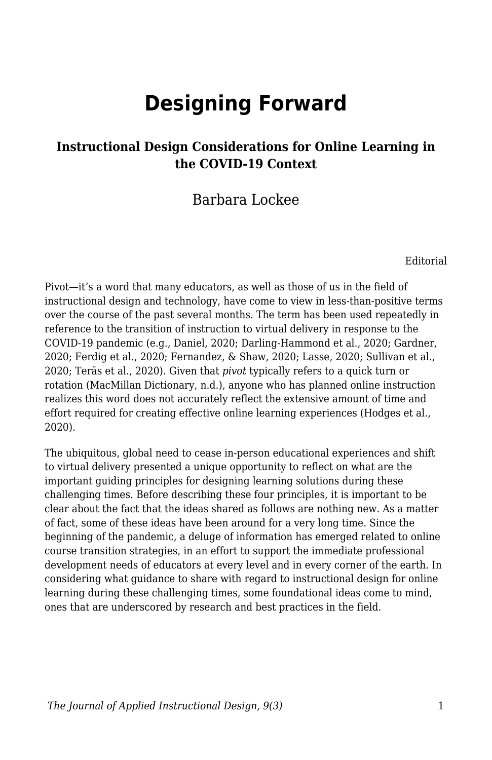# **Designing Forward**

#### **Instructional Design Considerations for Online Learning in the COVID-19 Context**

#### Barbara Lockee

Editorial

Pivot—it's a word that many educators, as well as those of us in the field of instructional design and technology, have come to view in less-than-positive terms over the course of the past several months. The term has been used repeatedly in reference to the transition of instruction to virtual delivery in response to the COVID-19 pandemic (e.g., Daniel, 2020; Darling-Hammond et al., 2020; Gardner, 2020; Ferdig et al., 2020; Fernandez, & Shaw, 2020; Lasse, 2020; Sullivan et al., 2020; Teräs et al., 2020). Given that *pivot* typically refers to a quick turn or rotation (MacMillan Dictionary, n.d.), anyone who has planned online instruction realizes this word does not accurately reflect the extensive amount of time and effort required for creating effective online learning experiences (Hodges et al., 2020).

The ubiquitous, global need to cease in-person educational experiences and shift to virtual delivery presented a unique opportunity to reflect on what are the important guiding principles for designing learning solutions during these challenging times. Before describing these four principles, it is important to be clear about the fact that the ideas shared as follows are nothing new. As a matter of fact, some of these ideas have been around for a very long time. Since the beginning of the pandemic, a deluge of information has emerged related to online course transition strategies, in an effort to support the immediate professional development needs of educators at every level and in every corner of the earth. In considering what guidance to share with regard to instructional design for online learning during these challenging times, some foundational ideas come to mind, ones that are underscored by research and best practices in the field.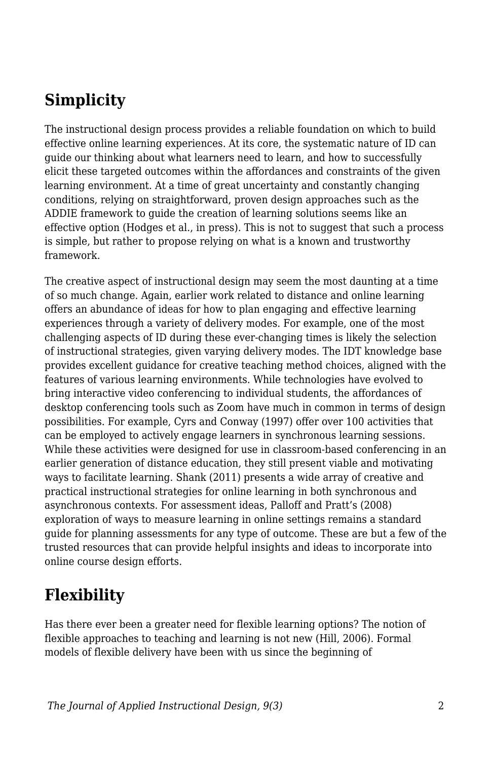## **Simplicity**

The instructional design process provides a reliable foundation on which to build effective online learning experiences. At its core, the systematic nature of ID can guide our thinking about what learners need to learn, and how to successfully elicit these targeted outcomes within the affordances and constraints of the given learning environment. At a time of great uncertainty and constantly changing conditions, relying on straightforward, proven design approaches such as the ADDIE framework to guide the creation of learning solutions seems like an effective option (Hodges et al., in press). This is not to suggest that such a process is simple, but rather to propose relying on what is a known and trustworthy framework.

The creative aspect of instructional design may seem the most daunting at a time of so much change. Again, earlier work related to distance and online learning offers an abundance of ideas for how to plan engaging and effective learning experiences through a variety of delivery modes. For example, one of the most challenging aspects of ID during these ever-changing times is likely the selection of instructional strategies, given varying delivery modes. The IDT knowledge base provides excellent guidance for creative teaching method choices, aligned with the features of various learning environments. While technologies have evolved to bring interactive video conferencing to individual students, the affordances of desktop conferencing tools such as Zoom have much in common in terms of design possibilities. For example, Cyrs and Conway (1997) offer over 100 activities that can be employed to actively engage learners in synchronous learning sessions. While these activities were designed for use in classroom-based conferencing in an earlier generation of distance education, they still present viable and motivating ways to facilitate learning. Shank (2011) presents a wide array of creative and practical instructional strategies for online learning in both synchronous and asynchronous contexts. For assessment ideas, Palloff and Pratt's (2008) exploration of ways to measure learning in online settings remains a standard guide for planning assessments for any type of outcome. These are but a few of the trusted resources that can provide helpful insights and ideas to incorporate into online course design efforts.

### **Flexibility**

Has there ever been a greater need for flexible learning options? The notion of flexible approaches to teaching and learning is not new (Hill, 2006). Formal models of flexible delivery have been with us since the beginning of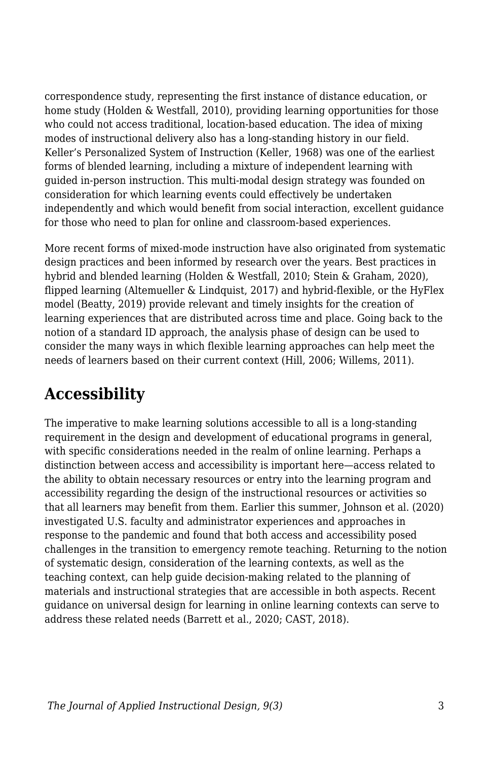correspondence study, representing the first instance of distance education, or home study (Holden & Westfall, 2010), providing learning opportunities for those who could not access traditional, location-based education. The idea of mixing modes of instructional delivery also has a long-standing history in our field. Keller's Personalized System of Instruction (Keller, 1968) was one of the earliest forms of blended learning, including a mixture of independent learning with guided in-person instruction. This multi-modal design strategy was founded on consideration for which learning events could effectively be undertaken independently and which would benefit from social interaction, excellent guidance for those who need to plan for online and classroom-based experiences.

More recent forms of mixed-mode instruction have also originated from systematic design practices and been informed by research over the years. Best practices in hybrid and blended learning (Holden & Westfall, 2010; Stein & Graham, 2020), flipped learning (Altemueller & Lindquist, 2017) and hybrid-flexible, or the HyFlex model (Beatty, 2019) provide relevant and timely insights for the creation of learning experiences that are distributed across time and place. Going back to the notion of a standard ID approach, the analysis phase of design can be used to consider the many ways in which flexible learning approaches can help meet the needs of learners based on their current context (Hill, 2006; Willems, 2011).

# **Accessibility**

The imperative to make learning solutions accessible to all is a long-standing requirement in the design and development of educational programs in general, with specific considerations needed in the realm of online learning. Perhaps a distinction between access and accessibility is important here—access related to the ability to obtain necessary resources or entry into the learning program and accessibility regarding the design of the instructional resources or activities so that all learners may benefit from them. Earlier this summer, Johnson et al. (2020) investigated U.S. faculty and administrator experiences and approaches in response to the pandemic and found that both access and accessibility posed challenges in the transition to emergency remote teaching. Returning to the notion of systematic design, consideration of the learning contexts, as well as the teaching context, can help guide decision-making related to the planning of materials and instructional strategies that are accessible in both aspects. Recent guidance on universal design for learning in online learning contexts can serve to address these related needs (Barrett et al., 2020; CAST, 2018).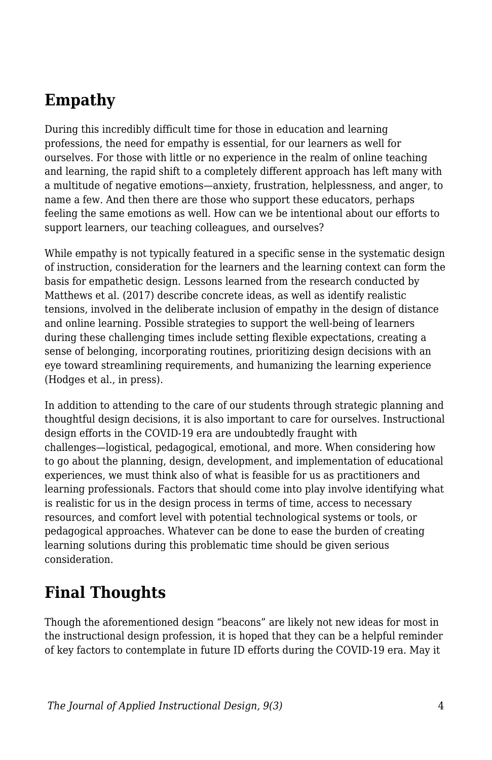### **Empathy**

During this incredibly difficult time for those in education and learning professions, the need for empathy is essential, for our learners as well for ourselves. For those with little or no experience in the realm of online teaching and learning, the rapid shift to a completely different approach has left many with a multitude of negative emotions—anxiety, frustration, helplessness, and anger, to name a few. And then there are those who support these educators, perhaps feeling the same emotions as well. How can we be intentional about our efforts to support learners, our teaching colleagues, and ourselves?

While empathy is not typically featured in a specific sense in the systematic design of instruction, consideration for the learners and the learning context can form the basis for empathetic design. Lessons learned from the research conducted by Matthews et al. (2017) describe concrete ideas, as well as identify realistic tensions, involved in the deliberate inclusion of empathy in the design of distance and online learning. Possible strategies to support the well-being of learners during these challenging times include setting flexible expectations, creating a sense of belonging, incorporating routines, prioritizing design decisions with an eye toward streamlining requirements, and humanizing the learning experience (Hodges et al., in press).

In addition to attending to the care of our students through strategic planning and thoughtful design decisions, it is also important to care for ourselves. Instructional design efforts in the COVID-19 era are undoubtedly fraught with challenges—logistical, pedagogical, emotional, and more. When considering how to go about the planning, design, development, and implementation of educational experiences, we must think also of what is feasible for us as practitioners and learning professionals. Factors that should come into play involve identifying what is realistic for us in the design process in terms of time, access to necessary resources, and comfort level with potential technological systems or tools, or pedagogical approaches. Whatever can be done to ease the burden of creating learning solutions during this problematic time should be given serious consideration.

# **Final Thoughts**

Though the aforementioned design "beacons" are likely not new ideas for most in the instructional design profession, it is hoped that they can be a helpful reminder of key factors to contemplate in future ID efforts during the COVID-19 era. May it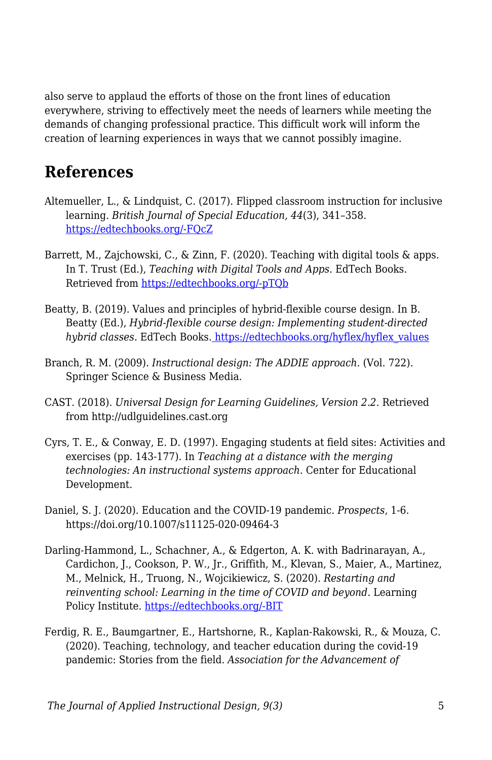also serve to applaud the efforts of those on the front lines of education everywhere, striving to effectively meet the needs of learners while meeting the demands of changing professional practice. This difficult work will inform the creation of learning experiences in ways that we cannot possibly imagine.

### **References**

- Altemueller, L., & Lindquist, C. (2017). Flipped classroom instruction for inclusive learning. *British Journal of Special Education, 44*(3), 341–358. [https://edtechbooks.org/-FQcZ](https://doi.org/10.1111/1467-8578.12177)
- Barrett, M., Zajchowski, C., & Zinn, F. (2020). Teaching with digital tools & apps. In T. Trust (Ed.), *Teaching with Digital Tools and Apps.* EdTech Books. Retrieved from [https://edtechbooks.org/-pTQb](https://edtechbooks.org/digitaltoolsapps/teachingwithdigital)
- Beatty, B. (2019). Values and principles of hybrid-flexible course design. In B. Beatty (Ed.), *Hybrid-flexible course design: Implementing student-directed hybrid classes*. EdTech Books. [https://edtechbooks.org/hyflex/hyflex\\_values](https://edtechbooks.org/hyflex/hyflex_values)
- Branch, R. M. (2009). *Instructional design: The ADDIE approach*. (Vol. 722). Springer Science & Business Media.
- CAST. (2018). *Universal Design for Learning Guidelines, Version 2.2.* Retrieved from http://udlguidelines.cast.org
- Cyrs, T. E., & Conway, E. D. (1997). Engaging students at field sites: Activities and exercises (pp. 143-177). In *Teaching at a distance with the merging technologies: An instructional systems approach.* Center for Educational Development.
- Daniel, S. J. (2020). Education and the COVID-19 pandemic. *Prospects*, 1-6. https://doi.org/10.1007/s11125-020-09464-3
- Darling-Hammond, L., Schachner, A., & Edgerton, A. K. with Badrinarayan, A., Cardichon, J., Cookson, P. W., Jr., Griffith, M., Klevan, S., Maier, A., Martinez, M., Melnick, H., Truong, N., Wojcikiewicz, S. (2020). *Restarting and reinventing school: Learning in the time of COVID and beyond.* Learning Policy Institute. [https://edtechbooks.org/-BIT](https://learningpolicyinstitute.org/sites/default/files/product-files/Restart_Reinvent_Schools_COVID_REPORT.pdf)
- Ferdig, R. E., Baumgartner, E., Hartshorne, R., Kaplan-Rakowski, R., & Mouza, C. (2020). Teaching, technology, and teacher education during the covid-19 pandemic: Stories from the field. *Association for the Advancement of*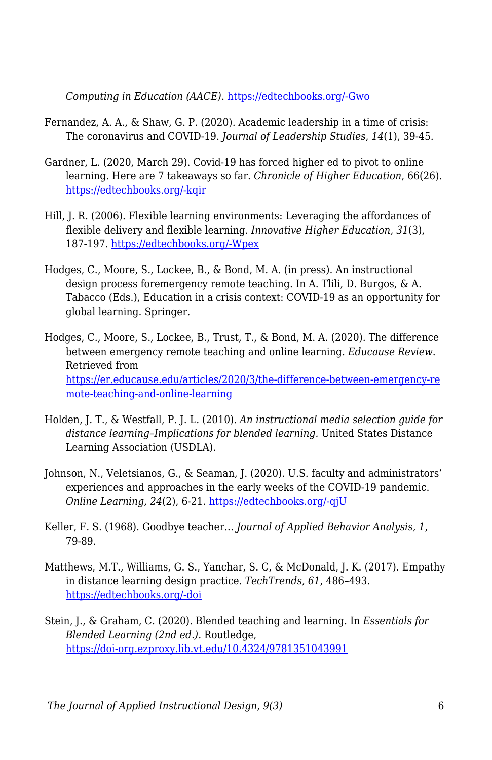*Computing in Education (AACE)*. [https://edtechbooks.org/-Gwo](https://www.researchgate.net/profile/Maria_Avgerinou/publication/342232081_The_5-Phase_Process_as_a_Balancing_Act_during_Times_of_Disruption_Transitioning_to_Virtual_Teaching_at_an_International_JK-5_School/links/5ee9cbc2299bf1faac5c8b6c/The-5-Phase-Process-as-a-Balancing-Act-during-Times-of-Disruption-Transitioning-to-Virtual-Teaching-at-an-International-JK-5-School.pdf)

- Fernandez, A. A., & Shaw, G. P. (2020). Academic leadership in a time of crisis: The coronavirus and COVID‐19. *Journal of Leadership Studies*, *14*(1), 39-45.
- Gardner, L. (2020, March 29). Covid-19 has forced higher ed to pivot to online learning. Here are 7 takeaways so far. *Chronicle of Higher Education*, 66(26). [https://edtechbooks.org/-kqir](http://bonner.pbworks.com/w/file/fetch/139643901/Covid-19%20Has%20Forced%20Higher%20Ed%20to%20Pivot%20to%20Online%20Learning.%20Here%20Are%207%20Takeaways%20So%20Far.%20-%20The%20Ch.pdf)
- Hill, J. R. (2006). Flexible learning environments: Leveraging the affordances of flexible delivery and flexible learning. *Innovative Higher Education, 31*(3), 187-197. [https://edtechbooks.org/-Wpex](https://doi.org/10.1007/s10755-006-9016-6)
- Hodges, C., Moore, S., Lockee, B., & Bond, M. A. (in press). An instructional design process foremergency remote teaching. In A. Tlili, D. Burgos, & A. Tabacco (Eds.), Education in a crisis context: COVID-19 as an opportunity for global learning. Springer.
- Hodges, C., Moore, S., Lockee, B., Trust, T., & Bond, M. A. (2020). The difference between emergency remote teaching and online learning. *Educause Review*. Retrieved from [https://er.educause.edu/articles/2020/3/the-difference-between-emergency-re](https://er.educause.edu/articles/2020/3/the-difference-between-emergency-remote-teaching-and-online-learning) [mote-teaching-and-online-learning](https://er.educause.edu/articles/2020/3/the-difference-between-emergency-remote-teaching-and-online-learning)
- Holden, J. T., & Westfall, P. J. L. (2010). *An instructional media selection guide for distance learning–Implications for blended learning.* United States Distance Learning Association (USDLA).
- Johnson, N., Veletsianos, G., & Seaman, J. (2020). U.S. faculty and administrators' experiences and approaches in the early weeks of the COVID-19 pandemic. *Online Learning, 24*(2), 6-21. [https://edtechbooks.org/-qjU](https://doi.org/10.24059/olj.v24i2.2285)
- Keller, F. S. (1968). Goodbye teacher… *Journal of Applied Behavior Analysis, 1*, 79-89.
- Matthews, M.T., Williams, G. S., Yanchar, S. C, & McDonald, J. K. (2017). Empathy in distance learning design practice. *TechTrends, 61*, 486–493. [https://edtechbooks.org/-doi](https://doi.org/10.1007/s11528-017-0212-2)
- Stein, J., & Graham, C. (2020). Blended teaching and learning. In *Essentials for Blended Learning (2nd ed.)*. Routledge, <https://doi-org.ezproxy.lib.vt.edu/10.4324/9781351043991>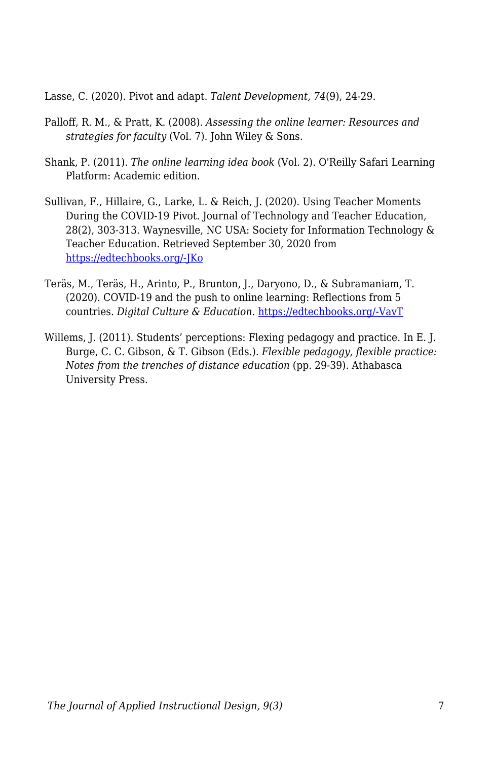Lasse, C. (2020). Pivot and adapt. *Talent Development, 74*(9), 24-29.

- Palloff, R. M., & Pratt, K. (2008). *Assessing the online learner: Resources and strategies for faculty* (Vol. 7). John Wiley & Sons.
- Shank, P. (2011). *The online learning idea book* (Vol. 2). O'Reilly Safari Learning Platform: Academic edition.
- Sullivan, F., Hillaire, G., Larke, L. & Reich, J. (2020). Using Teacher Moments During the COVID-19 Pivot. Journal of Technology and Teacher Education, 28(2), 303-313. Waynesville, NC USA: Society for Information Technology & Teacher Education. Retrieved September 30, 2020 from [https://edtechbooks.org/-JKo](https://www.learntechlib.org/primary/p/216171/)
- Teräs, M., Teräs, H., Arinto, P., Brunton, J., Daryono, D., & Subramaniam, T. (2020). COVID-19 and the push to online learning: Reflections from 5 countries. *Digital Culture & Education*. [https://edtechbooks.org/-VavT](https://www.digitalcultureandeducation.com/reflections-on-covid19/reflections-from-5-countries)
- Willems, J. (2011). Students' perceptions: Flexing pedagogy and practice. In E. J. Burge, C. C. Gibson, & T. Gibson (Eds.). *Flexible pedagogy, flexible practice: Notes from the trenches of distance education* (pp. 29-39). Athabasca University Press.